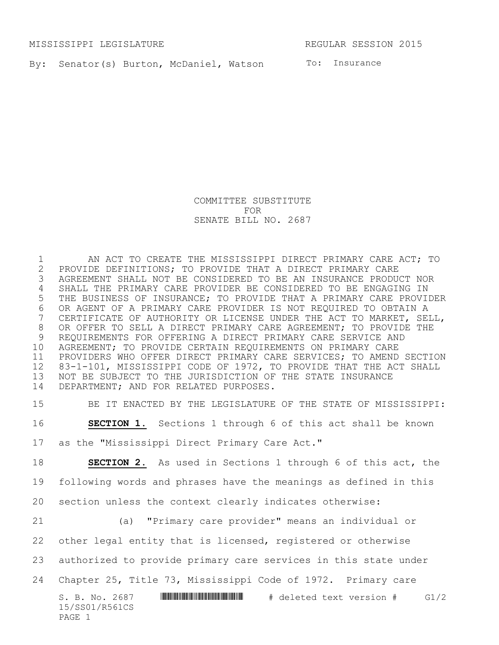MISSISSIPPI LEGISLATURE **REGULAR SESSION 2015** 

By: Senator(s) Burton, McDaniel, Watson To: Insurance

COMMITTEE SUBSTITUTE FOR SENATE BILL NO. 2687

1 AN ACT TO CREATE THE MISSISSIPPI DIRECT PRIMARY CARE ACT; TO 2 PROVIDE DEFINITIONS; TO PROVIDE THAT A DIRECT PRIMARY CARE<br>3 AGREEMENT SHALL NOT BE CONSIDERED TO BE AN INSURANCE PRODU AGREEMENT SHALL NOT BE CONSIDERED TO BE AN INSURANCE PRODUCT NOR SHALL THE PRIMARY CARE PROVIDER BE CONSIDERED TO BE ENGAGING IN THE BUSINESS OF INSURANCE; TO PROVIDE THAT A PRIMARY CARE PROVIDER OR AGENT OF A PRIMARY CARE PROVIDER IS NOT REQUIRED TO OBTAIN A CERTIFICATE OF AUTHORITY OR LICENSE UNDER THE ACT TO MARKET, SELL, OR OFFER TO SELL A DIRECT PRIMARY CARE AGREEMENT; TO PROVIDE THE REQUIREMENTS FOR OFFERING A DIRECT PRIMARY CARE SERVICE AND AGREEMENT; TO PROVIDE CERTAIN REQUIREMENTS ON PRIMARY CARE PROVIDERS WHO OFFER DIRECT PRIMARY CARE SERVICES; TO AMEND SECTION 83-1-101, MISSISSIPPI CODE OF 1972, TO PROVIDE THAT THE ACT SHALL NOT BE SUBJECT TO THE JURISDICTION OF THE STATE INSURANCE DEPARTMENT; AND FOR RELATED PURPOSES.

BE IT ENACTED BY THE LEGISLATURE OF THE STATE OF MISSISSIPPI:

**SECTION 1.** Sections 1 through 6 of this act shall be known

as the "Mississippi Direct Primary Care Act."

**SECTION 2.** As used in Sections 1 through 6 of this act, the

following words and phrases have the meanings as defined in this

section unless the context clearly indicates otherwise:

 (a) "Primary care provider" means an individual or other legal entity that is licensed, registered or otherwise

authorized to provide primary care services in this state under

Chapter 25, Title 73, Mississippi Code of 1972. Primary care

S. B. No. 2687 **\*\*\* A** S =  $\frac{1}{2}$  **WE A SECOTE A SECONDE 10 A SECONDE 10 A SECONDE 4** G1/2 15/SS01/R561CS PAGE 1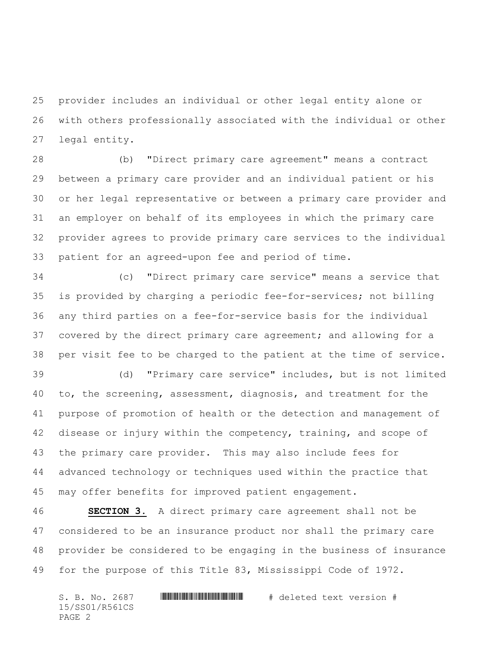provider includes an individual or other legal entity alone or with others professionally associated with the individual or other legal entity.

 (b) "Direct primary care agreement" means a contract between a primary care provider and an individual patient or his or her legal representative or between a primary care provider and an employer on behalf of its employees in which the primary care provider agrees to provide primary care services to the individual patient for an agreed-upon fee and period of time.

 (c) "Direct primary care service" means a service that is provided by charging a periodic fee-for-services; not billing any third parties on a fee-for-service basis for the individual covered by the direct primary care agreement; and allowing for a per visit fee to be charged to the patient at the time of service.

 (d) "Primary care service" includes, but is not limited to, the screening, assessment, diagnosis, and treatment for the purpose of promotion of health or the detection and management of disease or injury within the competency, training, and scope of the primary care provider. This may also include fees for advanced technology or techniques used within the practice that may offer benefits for improved patient engagement.

 **SECTION 3.** A direct primary care agreement shall not be considered to be an insurance product nor shall the primary care provider be considered to be engaging in the business of insurance for the purpose of this Title 83, Mississippi Code of 1972.

 $S. B. No. 2687$  . The set in the set of  $H$  and  $H$  deleted text version  $#$ 15/SS01/R561CS PAGE 2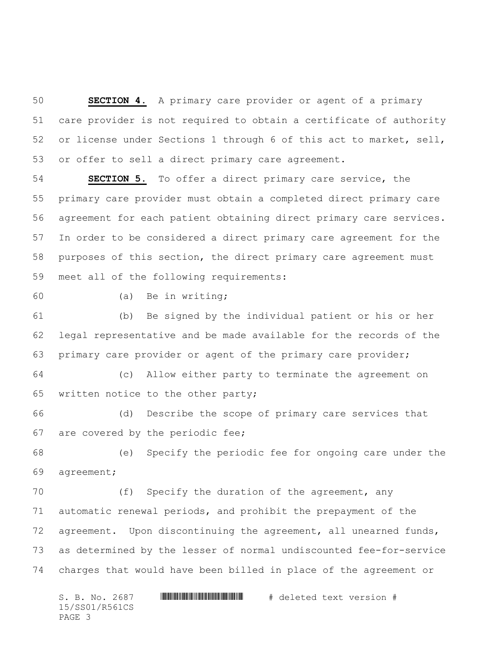**SECTION 4.** A primary care provider or agent of a primary care provider is not required to obtain a certificate of authority or license under Sections 1 through 6 of this act to market, sell, or offer to sell a direct primary care agreement.

 **SECTION 5.** To offer a direct primary care service, the primary care provider must obtain a completed direct primary care agreement for each patient obtaining direct primary care services. In order to be considered a direct primary care agreement for the purposes of this section, the direct primary care agreement must meet all of the following requirements:

(a) Be in writing;

 (b) Be signed by the individual patient or his or her legal representative and be made available for the records of the primary care provider or agent of the primary care provider;

 (c) Allow either party to terminate the agreement on written notice to the other party;

 (d) Describe the scope of primary care services that are covered by the periodic fee;

 (e) Specify the periodic fee for ongoing care under the agreement;

 (f) Specify the duration of the agreement, any automatic renewal periods, and prohibit the prepayment of the agreement. Upon discontinuing the agreement, all unearned funds, as determined by the lesser of normal undiscounted fee-for-service charges that would have been billed in place of the agreement or

 $S. B. No. 2687$  . The set in the set of  $H$  and  $H$  deleted text version  $#$ 15/SS01/R561CS PAGE 3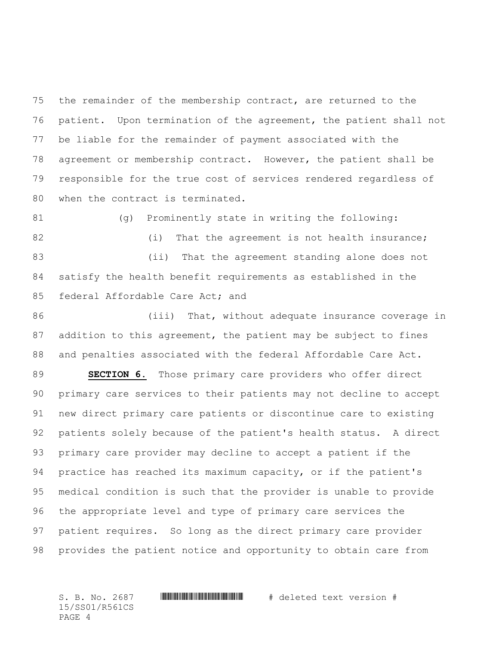the remainder of the membership contract, are returned to the patient. Upon termination of the agreement, the patient shall not be liable for the remainder of payment associated with the agreement or membership contract. However, the patient shall be responsible for the true cost of services rendered regardless of when the contract is terminated.

 (g) Prominently state in writing the following: 82 (i) That the agreement is not health insurance; (ii) That the agreement standing alone does not satisfy the health benefit requirements as established in the federal Affordable Care Act; and

86 (iii) That, without adequate insurance coverage in addition to this agreement, the patient may be subject to fines and penalties associated with the federal Affordable Care Act.

 **SECTION 6.** Those primary care providers who offer direct primary care services to their patients may not decline to accept new direct primary care patients or discontinue care to existing patients solely because of the patient's health status. A direct primary care provider may decline to accept a patient if the practice has reached its maximum capacity, or if the patient's medical condition is such that the provider is unable to provide the appropriate level and type of primary care services the patient requires. So long as the direct primary care provider provides the patient notice and opportunity to obtain care from

S. B. No. 2687 \*SS01/R561CS\* # deleted text version # 15/SS01/R561CS PAGE 4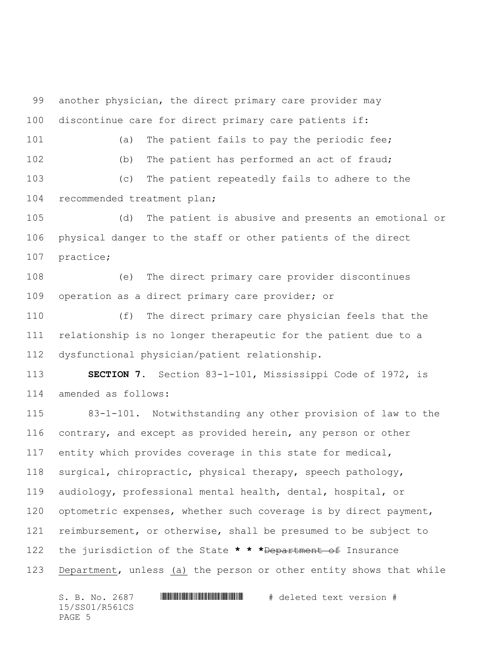another physician, the direct primary care provider may discontinue care for direct primary care patients if:

101 (a) The patient fails to pay the periodic fee; (b) The patient has performed an act of fraud; (c) The patient repeatedly fails to adhere to the

recommended treatment plan;

 (d) The patient is abusive and presents an emotional or physical danger to the staff or other patients of the direct practice;

 (e) The direct primary care provider discontinues operation as a direct primary care provider; or

 (f) The direct primary care physician feels that the relationship is no longer therapeutic for the patient due to a dysfunctional physician/patient relationship.

 **SECTION 7.** Section 83-1-101, Mississippi Code of 1972, is amended as follows:

 83-1-101. Notwithstanding any other provision of law to the contrary, and except as provided herein, any person or other entity which provides coverage in this state for medical, surgical, chiropractic, physical therapy, speech pathology, audiology, professional mental health, dental, hospital, or 120 optometric expenses, whether such coverage is by direct payment, reimbursement, or otherwise, shall be presumed to be subject to the jurisdiction of the State **\* \* \***Department of Insurance Department, unless (a) the person or other entity shows that while

 $S. B. No. 2687$  . The set in the set of  $H$  and  $H$  deleted text version  $#$ 15/SS01/R561CS PAGE 5